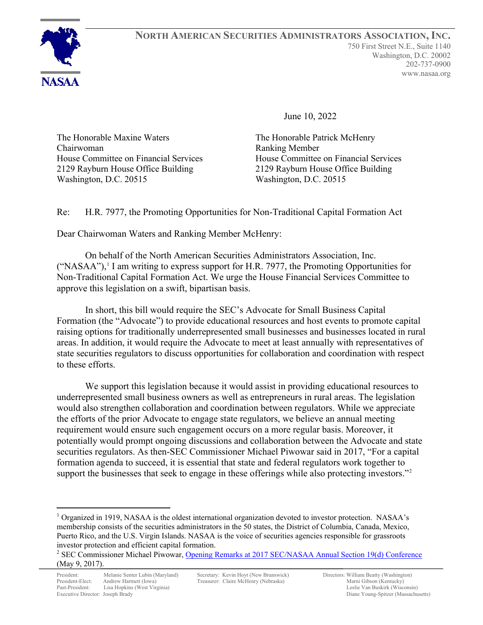

June 10, 2022

The Honorable Maxine Waters The Honorable Patrick McHenry Chairwoman Ranking Member Washington, D.C. 20515

House Committee on Financial Services House Committee on Financial Services 2129 Rayburn House Office Building<br>
Washington, D.C. 20515<br>
Washington, D.C. 20515

Re: H.R. 7977, the Promoting Opportunities for Non-Traditional Capital Formation Act

Dear Chairwoman Waters and Ranking Member McHenry:

On behalf of the North American Securities Administrators Association, Inc.  $("NASAA")$ <sup>[1](#page-0-0)</sup>, I am writing to express support for H.R. 7977, the Promoting Opportunities for Non-Traditional Capital Formation Act. We urge the House Financial Services Committee to approve this legislation on a swift, bipartisan basis.

In short, this bill would require the SEC's Advocate for Small Business Capital Formation (the "Advocate") to provide educational resources and host events to promote capital raising options for traditionally underrepresented small businesses and businesses located in rural areas. In addition, it would require the Advocate to meet at least annually with representatives of state securities regulators to discuss opportunities for collaboration and coordination with respect to these efforts.

We support this legislation because it would assist in providing educational resources to underrepresented small business owners as well as entrepreneurs in rural areas. The legislation would also strengthen collaboration and coordination between regulators. While we appreciate the efforts of the prior Advocate to engage state regulators, we believe an annual meeting requirement would ensure such engagement occurs on a more regular basis. Moreover, it potentially would prompt ongoing discussions and collaboration between the Advocate and state securities regulators. As then-SEC Commissioner Michael Piwowar said in 2017, "For a capital formation agenda to succeed, it is essential that state and federal regulators work together to support the businesses that seek to engage in these offerings while also protecting investors."<sup>[2](#page-0-1)</sup>

<span id="page-0-0"></span> $1$  Organized in 1919, NASAA is the oldest international organization devoted to investor protection. NASAA's membership consists of the securities administrators in the 50 states, the District of Columbia, Canada, Mexico, Puerto Rico, and the U.S. Virgin Islands. NASAA is the voice of securities agencies responsible for grassroots investor protection and efficient capital formation.

<span id="page-0-1"></span><sup>&</sup>lt;sup>2</sup> SEC Commissioner Michael Piwowar, [Opening Remarks at 2017 SEC/NASAA Annual Section 19\(d\) Conference](https://www.sec.gov/news/speech/piwowar-opening-remarks-sec-nasaa-2017-19d-conference) (May 9, 2017).